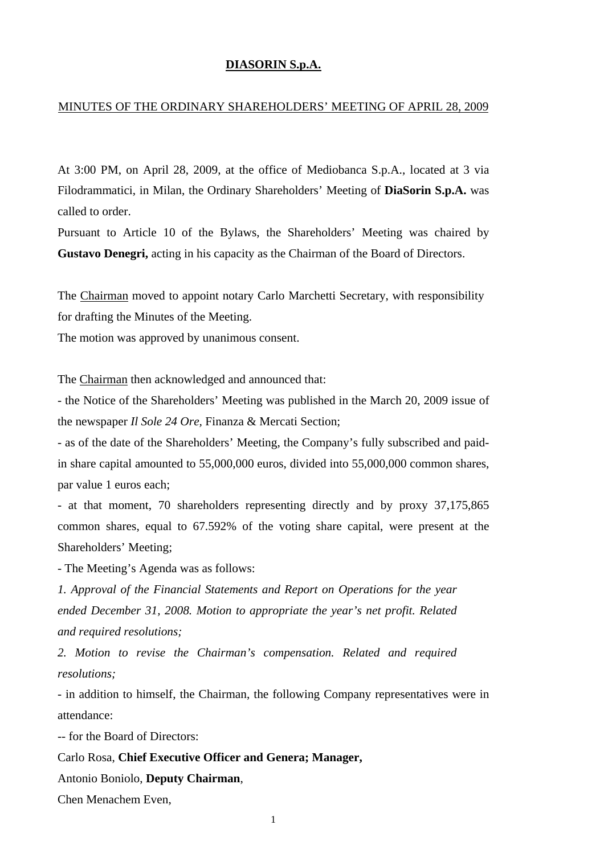## **DIASORIN S.p.A.**

## MINUTES OF THE ORDINARY SHAREHOLDERS' MEETING OF APRIL 28, 2009

At 3:00 PM, on April 28, 2009, at the office of Mediobanca S.p.A., located at 3 via Filodrammatici, in Milan, the Ordinary Shareholders' Meeting of **DiaSorin S.p.A.** was called to order.

Pursuant to Article 10 of the Bylaws, the Shareholders' Meeting was chaired by **Gustavo Denegri,** acting in his capacity as the Chairman of the Board of Directors.

The Chairman moved to appoint notary Carlo Marchetti Secretary, with responsibility for drafting the Minutes of the Meeting.

The motion was approved by unanimous consent.

The Chairman then acknowledged and announced that:

- the Notice of the Shareholders' Meeting was published in the March 20, 2009 issue of the newspaper *Il Sole 24 Ore,* Finanza & Mercati Section;

- as of the date of the Shareholders' Meeting, the Company's fully subscribed and paidin share capital amounted to 55,000,000 euros, divided into 55,000,000 common shares, par value 1 euros each;

- at that moment, 70 shareholders representing directly and by proxy 37,175,865 common shares, equal to 67.592% of the voting share capital, were present at the Shareholders' Meeting;

- The Meeting's Agenda was as follows:

*1. Approval of the Financial Statements and Report on Operations for the year ended December 31, 2008. Motion to appropriate the year's net profit. Related and required resolutions;* 

*2. Motion to revise the Chairman's compensation. Related and required resolutions;*

- in addition to himself, the Chairman, the following Company representatives were in attendance:

-- for the Board of Directors:

Carlo Rosa, **Chief Executive Officer and Genera; Manager,**

Antonio Boniolo, **Deputy Chairman**,

Chen Menachem Even,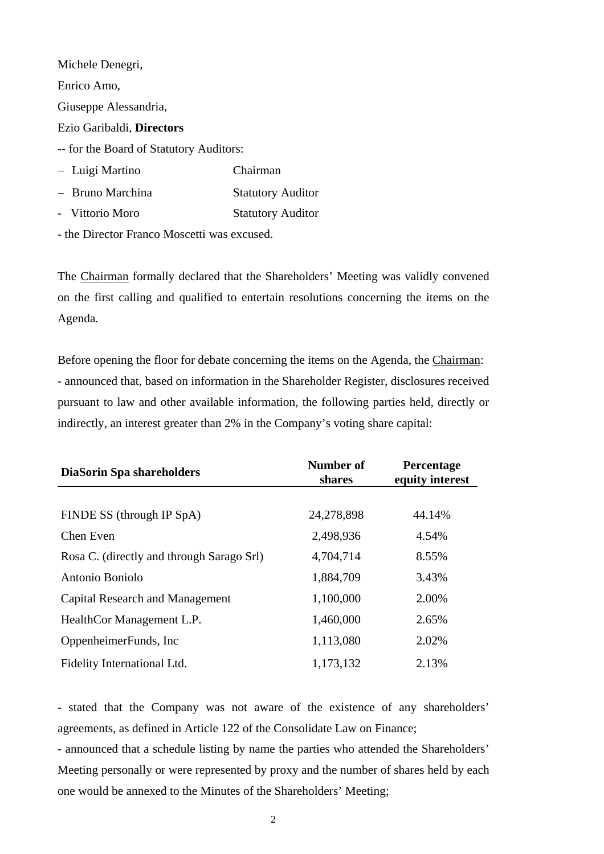Michele Denegri, Enrico Amo, Giuseppe Alessandria, Ezio Garibaldi, **Directors**  -- for the Board of Statutory Auditors: − Luigi Martino Chairman − Bruno Marchina Statutory Auditor - Vittorio Moro Statutory Auditor

- the Director Franco Moscetti was excused.

The Chairman formally declared that the Shareholders' Meeting was validly convened on the first calling and qualified to entertain resolutions concerning the items on the Agenda.

Before opening the floor for debate concerning the items on the Agenda, the Chairman: - announced that, based on information in the Shareholder Register, disclosures received pursuant to law and other available information, the following parties held, directly or indirectly, an interest greater than 2% in the Company's voting share capital:

| <b>DiaSorin Spa shareholders</b>          | Number of<br>shares | Percentage<br>equity interest |
|-------------------------------------------|---------------------|-------------------------------|
|                                           |                     |                               |
| FINDE SS (through IP SpA)                 | 24,278,898          | 44.14%                        |
| Chen Even                                 | 2,498,936           | 4.54%                         |
| Rosa C. (directly and through Sarago Srl) | 4,704,714           | 8.55%                         |
| Antonio Boniolo                           | 1,884,709           | 3.43%                         |
| <b>Capital Research and Management</b>    | 1,100,000           | 2.00%                         |
| HealthCor Management L.P.                 | 1,460,000           | 2.65%                         |
| OppenheimerFunds, Inc.                    | 1,113,080           | 2.02%                         |
| Fidelity International Ltd.               | 1,173,132           | 2.13%                         |

- stated that the Company was not aware of the existence of any shareholders' agreements, as defined in Article 122 of the Consolidate Law on Finance;

- announced that a schedule listing by name the parties who attended the Shareholders' Meeting personally or were represented by proxy and the number of shares held by each one would be annexed to the Minutes of the Shareholders' Meeting;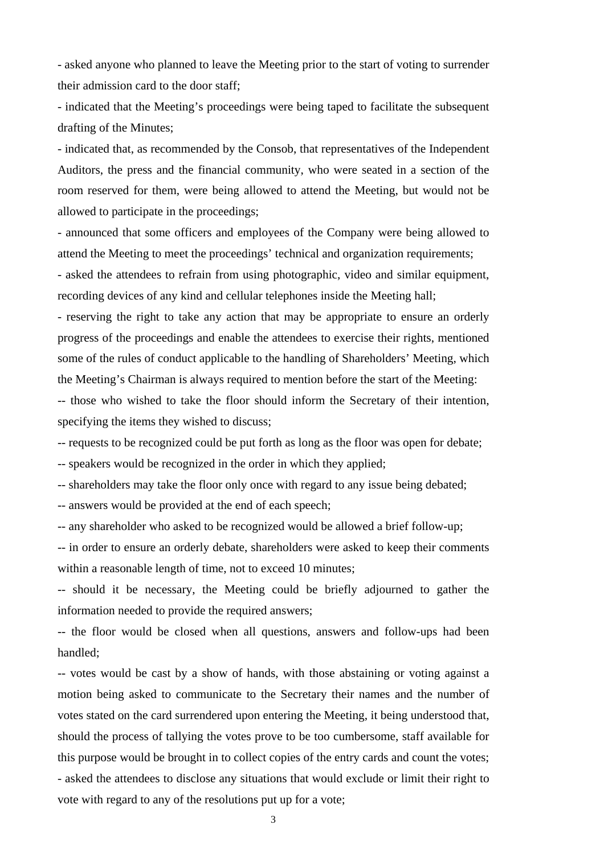- asked anyone who planned to leave the Meeting prior to the start of voting to surrender their admission card to the door staff;

- indicated that the Meeting's proceedings were being taped to facilitate the subsequent drafting of the Minutes;

- indicated that, as recommended by the Consob, that representatives of the Independent Auditors, the press and the financial community, who were seated in a section of the room reserved for them, were being allowed to attend the Meeting, but would not be allowed to participate in the proceedings;

- announced that some officers and employees of the Company were being allowed to attend the Meeting to meet the proceedings' technical and organization requirements;

- asked the attendees to refrain from using photographic, video and similar equipment, recording devices of any kind and cellular telephones inside the Meeting hall;

- reserving the right to take any action that may be appropriate to ensure an orderly progress of the proceedings and enable the attendees to exercise their rights, mentioned some of the rules of conduct applicable to the handling of Shareholders' Meeting, which the Meeting's Chairman is always required to mention before the start of the Meeting:

-- those who wished to take the floor should inform the Secretary of their intention, specifying the items they wished to discuss;

-- requests to be recognized could be put forth as long as the floor was open for debate;

-- speakers would be recognized in the order in which they applied;

-- shareholders may take the floor only once with regard to any issue being debated;

-- answers would be provided at the end of each speech;

-- any shareholder who asked to be recognized would be allowed a brief follow-up;

-- in order to ensure an orderly debate, shareholders were asked to keep their comments within a reasonable length of time, not to exceed 10 minutes;

-- should it be necessary, the Meeting could be briefly adjourned to gather the information needed to provide the required answers;

-- the floor would be closed when all questions, answers and follow-ups had been handled;

-- votes would be cast by a show of hands, with those abstaining or voting against a motion being asked to communicate to the Secretary their names and the number of votes stated on the card surrendered upon entering the Meeting, it being understood that, should the process of tallying the votes prove to be too cumbersome, staff available for this purpose would be brought in to collect copies of the entry cards and count the votes; - asked the attendees to disclose any situations that would exclude or limit their right to vote with regard to any of the resolutions put up for a vote;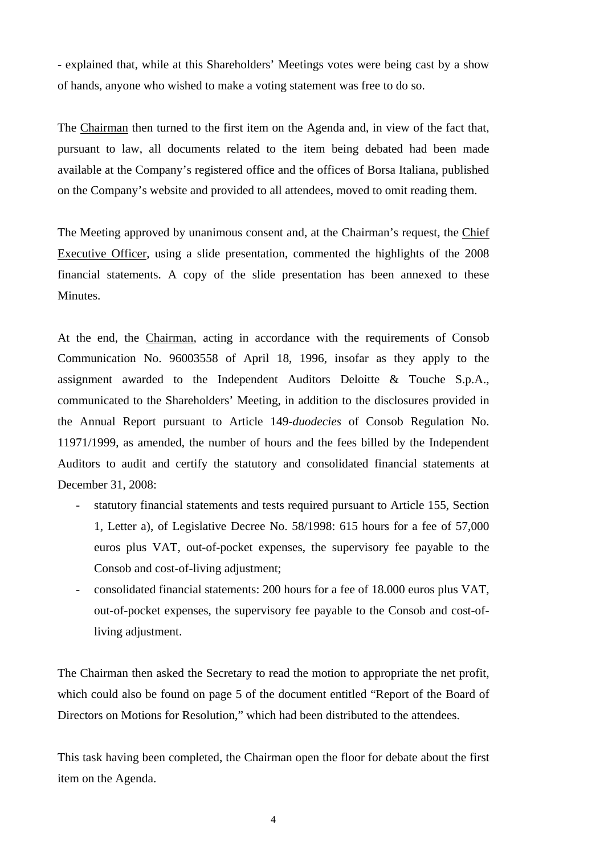- explained that, while at this Shareholders' Meetings votes were being cast by a show of hands, anyone who wished to make a voting statement was free to do so.

The Chairman then turned to the first item on the Agenda and, in view of the fact that, pursuant to law, all documents related to the item being debated had been made available at the Company's registered office and the offices of Borsa Italiana, published on the Company's website and provided to all attendees, moved to omit reading them.

The Meeting approved by unanimous consent and, at the Chairman's request, the Chief Executive Officer, using a slide presentation, commented the highlights of the 2008 financial statements. A copy of the slide presentation has been annexed to these **Minutes** 

At the end, the Chairman, acting in accordance with the requirements of Consob Communication No. 96003558 of April 18, 1996, insofar as they apply to the assignment awarded to the Independent Auditors Deloitte & Touche S.p.A., communicated to the Shareholders' Meeting, in addition to the disclosures provided in the Annual Report pursuant to Article 149-*duodecies* of Consob Regulation No. 11971/1999, as amended, the number of hours and the fees billed by the Independent Auditors to audit and certify the statutory and consolidated financial statements at December 31, 2008:

- statutory financial statements and tests required pursuant to Article 155, Section 1, Letter a), of Legislative Decree No. 58/1998: 615 hours for a fee of 57,000 euros plus VAT, out-of-pocket expenses, the supervisory fee payable to the Consob and cost-of-living adjustment;
- consolidated financial statements: 200 hours for a fee of 18.000 euros plus VAT, out-of-pocket expenses, the supervisory fee payable to the Consob and cost-ofliving adjustment.

The Chairman then asked the Secretary to read the motion to appropriate the net profit, which could also be found on page 5 of the document entitled "Report of the Board of Directors on Motions for Resolution," which had been distributed to the attendees.

This task having been completed, the Chairman open the floor for debate about the first item on the Agenda.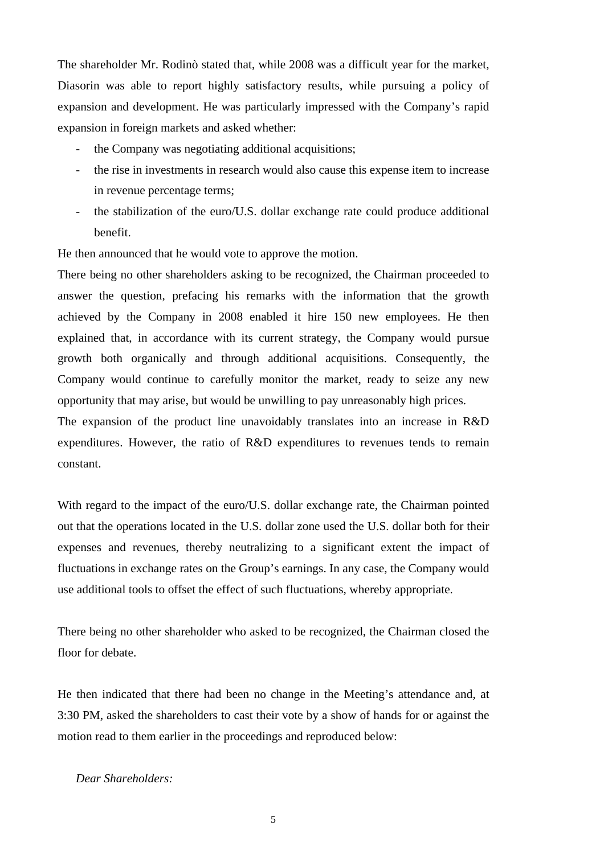The shareholder Mr. Rodinò stated that, while 2008 was a difficult year for the market, Diasorin was able to report highly satisfactory results, while pursuing a policy of expansion and development. He was particularly impressed with the Company's rapid expansion in foreign markets and asked whether:

- the Company was negotiating additional acquisitions;
- the rise in investments in research would also cause this expense item to increase in revenue percentage terms;
- the stabilization of the euro/U.S. dollar exchange rate could produce additional benefit.

He then announced that he would vote to approve the motion.

There being no other shareholders asking to be recognized, the Chairman proceeded to answer the question, prefacing his remarks with the information that the growth achieved by the Company in 2008 enabled it hire 150 new employees. He then explained that, in accordance with its current strategy, the Company would pursue growth both organically and through additional acquisitions. Consequently, the Company would continue to carefully monitor the market, ready to seize any new opportunity that may arise, but would be unwilling to pay unreasonably high prices.

The expansion of the product line unavoidably translates into an increase in R&D expenditures. However, the ratio of R&D expenditures to revenues tends to remain constant.

With regard to the impact of the euro/U.S. dollar exchange rate, the Chairman pointed out that the operations located in the U.S. dollar zone used the U.S. dollar both for their expenses and revenues, thereby neutralizing to a significant extent the impact of fluctuations in exchange rates on the Group's earnings. In any case, the Company would use additional tools to offset the effect of such fluctuations, whereby appropriate.

There being no other shareholder who asked to be recognized, the Chairman closed the floor for debate.

He then indicated that there had been no change in the Meeting's attendance and, at 3:30 PM, asked the shareholders to cast their vote by a show of hands for or against the motion read to them earlier in the proceedings and reproduced below:

*Dear Shareholders:*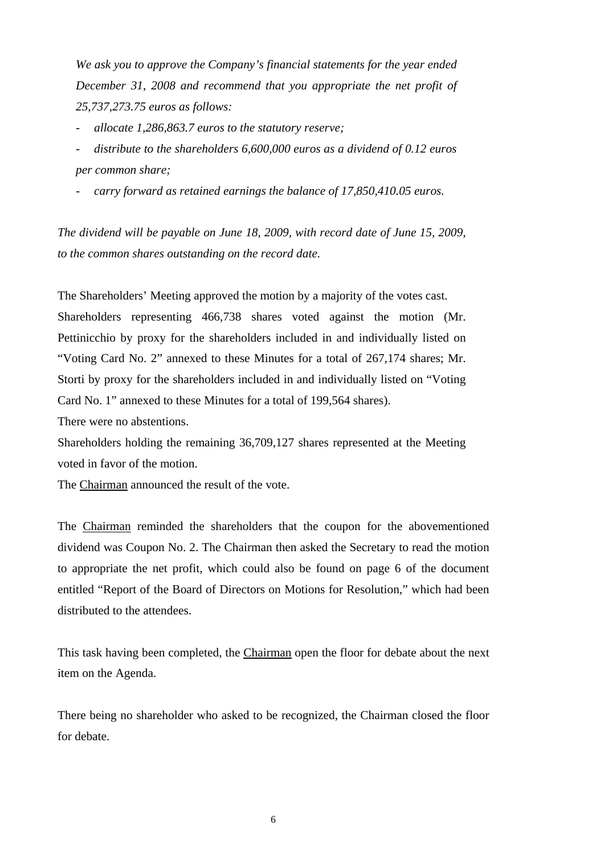*We ask you to approve the Company's financial statements for the year ended December 31, 2008 and recommend that you appropriate the net profit of 25,737,273.75 euros as follows:* 

- *allocate 1,286,863.7 euros to the statutory reserve;* 

- *distribute to the shareholders 6,600,000 euros as a dividend of 0.12 euros per common share;*
- carry forward as retained earnings the balance of 17,850,410.05 euros.

*The dividend will be payable on June 18, 2009, with record date of June 15, 2009, to the common shares outstanding on the record date.*

The Shareholders' Meeting approved the motion by a majority of the votes cast.

Shareholders representing 466,738 shares voted against the motion (Mr. Pettinicchio by proxy for the shareholders included in and individually listed on "Voting Card No. 2" annexed to these Minutes for a total of 267,174 shares; Mr. Storti by proxy for the shareholders included in and individually listed on "Voting Card No. 1" annexed to these Minutes for a total of 199,564 shares).

There were no abstentions.

Shareholders holding the remaining 36,709,127 shares represented at the Meeting voted in favor of the motion.

The Chairman announced the result of the vote.

The Chairman reminded the shareholders that the coupon for the abovementioned dividend was Coupon No. 2. The Chairman then asked the Secretary to read the motion to appropriate the net profit, which could also be found on page 6 of the document entitled "Report of the Board of Directors on Motions for Resolution," which had been distributed to the attendees.

This task having been completed, the Chairman open the floor for debate about the next item on the Agenda.

There being no shareholder who asked to be recognized, the Chairman closed the floor for debate.